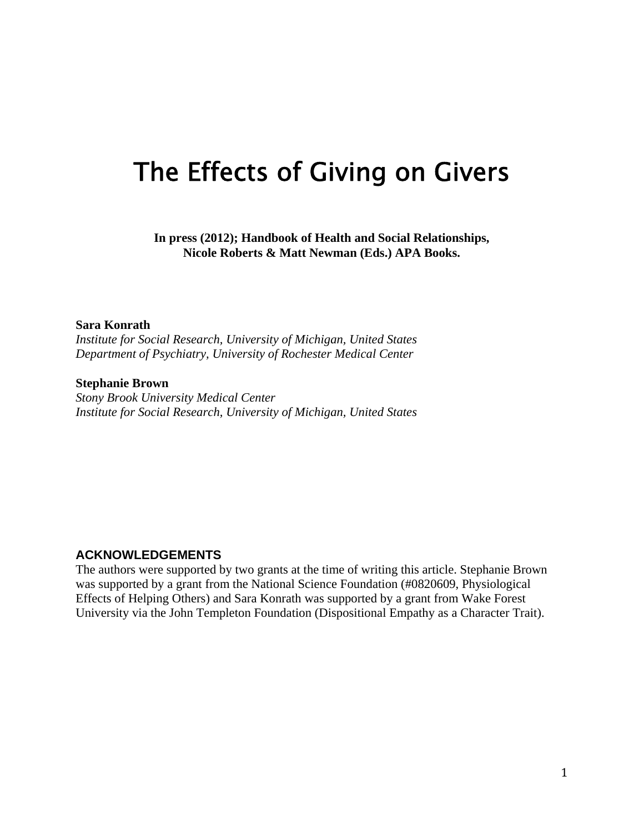# The Effects of Giving on Givers

**In press (2012); Handbook of Health and Social Relationships, Nicole Roberts & Matt Newman (Eds.) APA Books.** 

### **Sara Konrath**

*Institute for Social Research, University of Michigan, United States Department of Psychiatry, University of Rochester Medical Center* 

#### **Stephanie Brown**

*Stony Brook University Medical Center Institute for Social Research, University of Michigan, United States* 

## **ACKNOWLEDGEMENTS**

The authors were supported by two grants at the time of writing this article. Stephanie Brown was supported by a grant from the National Science Foundation (#0820609, Physiological Effects of Helping Others) and Sara Konrath was supported by a grant from Wake Forest University via the John Templeton Foundation (Dispositional Empathy as a Character Trait).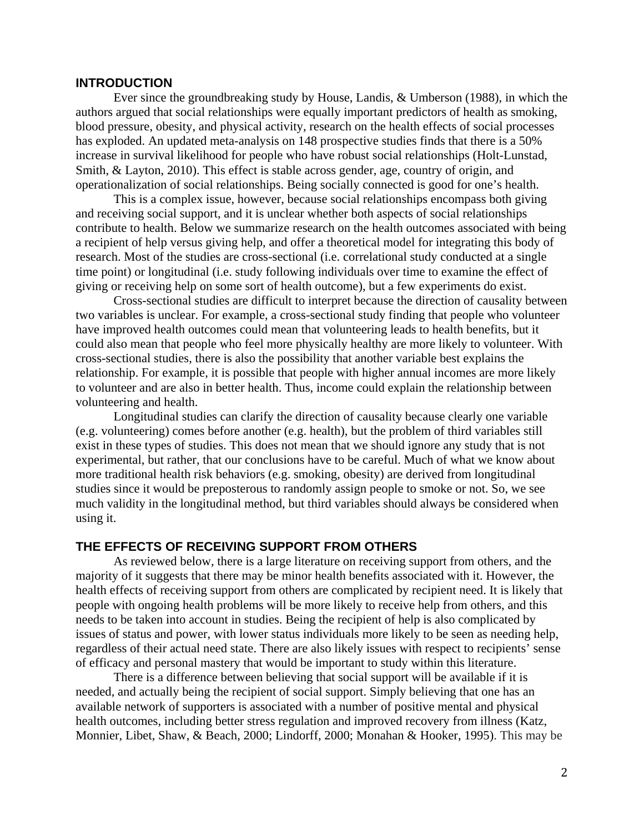## **INTRODUCTION**

 Ever since the groundbreaking study by House, Landis, & Umberson (1988), in which the authors argued that social relationships were equally important predictors of health as smoking, blood pressure, obesity, and physical activity, research on the health effects of social processes has exploded. An updated meta-analysis on 148 prospective studies finds that there is a 50% increase in survival likelihood for people who have robust social relationships (Holt-Lunstad, Smith, & Layton, 2010). This effect is stable across gender, age, country of origin, and operationalization of social relationships. Being socially connected is good for one's health.

This is a complex issue, however, because social relationships encompass both giving and receiving social support, and it is unclear whether both aspects of social relationships contribute to health. Below we summarize research on the health outcomes associated with being a recipient of help versus giving help, and offer a theoretical model for integrating this body of research. Most of the studies are cross-sectional (i.e. correlational study conducted at a single time point) or longitudinal (i.e. study following individuals over time to examine the effect of giving or receiving help on some sort of health outcome), but a few experiments do exist.

 Cross-sectional studies are difficult to interpret because the direction of causality between two variables is unclear. For example, a cross-sectional study finding that people who volunteer have improved health outcomes could mean that volunteering leads to health benefits, but it could also mean that people who feel more physically healthy are more likely to volunteer. With cross-sectional studies, there is also the possibility that another variable best explains the relationship. For example, it is possible that people with higher annual incomes are more likely to volunteer and are also in better health. Thus, income could explain the relationship between volunteering and health.

 Longitudinal studies can clarify the direction of causality because clearly one variable (e.g. volunteering) comes before another (e.g. health), but the problem of third variables still exist in these types of studies. This does not mean that we should ignore any study that is not experimental, but rather, that our conclusions have to be careful. Much of what we know about more traditional health risk behaviors (e.g. smoking, obesity) are derived from longitudinal studies since it would be preposterous to randomly assign people to smoke or not. So, we see much validity in the longitudinal method, but third variables should always be considered when using it.

## **THE EFFECTS OF RECEIVING SUPPORT FROM OTHERS**

As reviewed below, there is a large literature on receiving support from others, and the majority of it suggests that there may be minor health benefits associated with it. However, the health effects of receiving support from others are complicated by recipient need. It is likely that people with ongoing health problems will be more likely to receive help from others, and this needs to be taken into account in studies. Being the recipient of help is also complicated by issues of status and power, with lower status individuals more likely to be seen as needing help, regardless of their actual need state. There are also likely issues with respect to recipients' sense of efficacy and personal mastery that would be important to study within this literature.

There is a difference between believing that social support will be available if it is needed, and actually being the recipient of social support. Simply believing that one has an available network of supporters is associated with a number of positive mental and physical health outcomes, including better stress regulation and improved recovery from illness (Katz, Monnier, Libet, Shaw, & Beach, 2000; Lindorff, 2000; Monahan & Hooker, 1995). This may be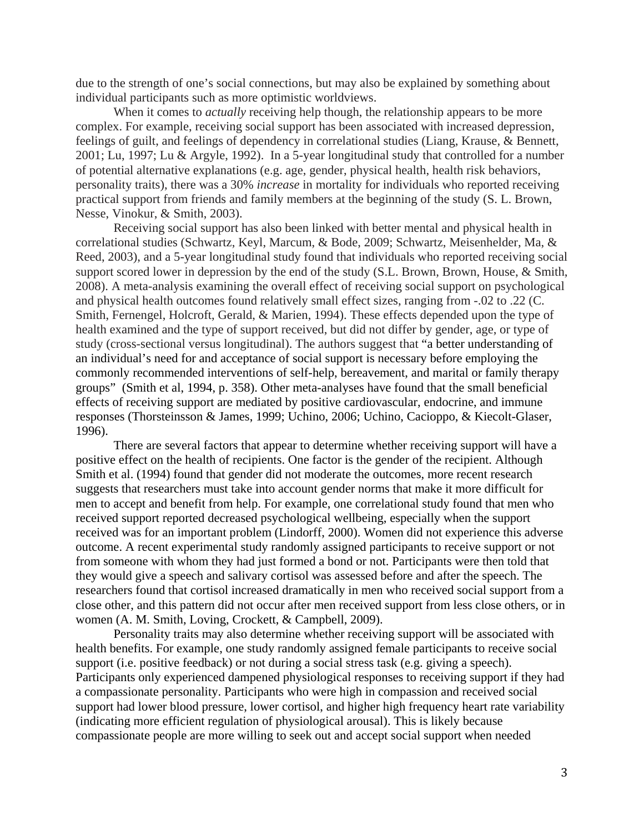due to the strength of one's social connections, but may also be explained by something about individual participants such as more optimistic worldviews.

When it comes to *actually* receiving help though, the relationship appears to be more complex. For example, receiving social support has been associated with increased depression, feelings of guilt, and feelings of dependency in correlational studies (Liang, Krause, & Bennett, 2001; Lu, 1997; Lu & Argyle, 1992). In a 5-year longitudinal study that controlled for a number of potential alternative explanations (e.g. age, gender, physical health, health risk behaviors, personality traits), there was a 30% *increase* in mortality for individuals who reported receiving practical support from friends and family members at the beginning of the study (S. L. Brown, Nesse, Vinokur, & Smith, 2003).

Receiving social support has also been linked with better mental and physical health in correlational studies (Schwartz, Keyl, Marcum, & Bode, 2009; Schwartz, Meisenhelder, Ma, & Reed, 2003), and a 5-year longitudinal study found that individuals who reported receiving social support scored lower in depression by the end of the study (S.L. Brown, Brown, House, & Smith, 2008). A meta-analysis examining the overall effect of receiving social support on psychological and physical health outcomes found relatively small effect sizes, ranging from -.02 to .22 (C. Smith, Fernengel, Holcroft, Gerald, & Marien, 1994). These effects depended upon the type of health examined and the type of support received, but did not differ by gender, age, or type of study (cross-sectional versus longitudinal). The authors suggest that "a better understanding of an individual's need for and acceptance of social support is necessary before employing the commonly recommended interventions of self-help, bereavement, and marital or family therapy groups" (Smith et al, 1994, p. 358). Other meta-analyses have found that the small beneficial effects of receiving support are mediated by positive cardiovascular, endocrine, and immune responses (Thorsteinsson & James, 1999; Uchino, 2006; Uchino, Cacioppo, & Kiecolt-Glaser, 1996).

There are several factors that appear to determine whether receiving support will have a positive effect on the health of recipients. One factor is the gender of the recipient. Although Smith et al. (1994) found that gender did not moderate the outcomes, more recent research suggests that researchers must take into account gender norms that make it more difficult for men to accept and benefit from help. For example, one correlational study found that men who received support reported decreased psychological wellbeing, especially when the support received was for an important problem (Lindorff, 2000). Women did not experience this adverse outcome. A recent experimental study randomly assigned participants to receive support or not from someone with whom they had just formed a bond or not. Participants were then told that they would give a speech and salivary cortisol was assessed before and after the speech. The researchers found that cortisol increased dramatically in men who received social support from a close other, and this pattern did not occur after men received support from less close others, or in women (A. M. Smith, Loving, Crockett, & Campbell, 2009).

Personality traits may also determine whether receiving support will be associated with health benefits. For example, one study randomly assigned female participants to receive social support (i.e. positive feedback) or not during a social stress task (e.g. giving a speech). Participants only experienced dampened physiological responses to receiving support if they had a compassionate personality. Participants who were high in compassion and received social support had lower blood pressure, lower cortisol, and higher high frequency heart rate variability (indicating more efficient regulation of physiological arousal). This is likely because compassionate people are more willing to seek out and accept social support when needed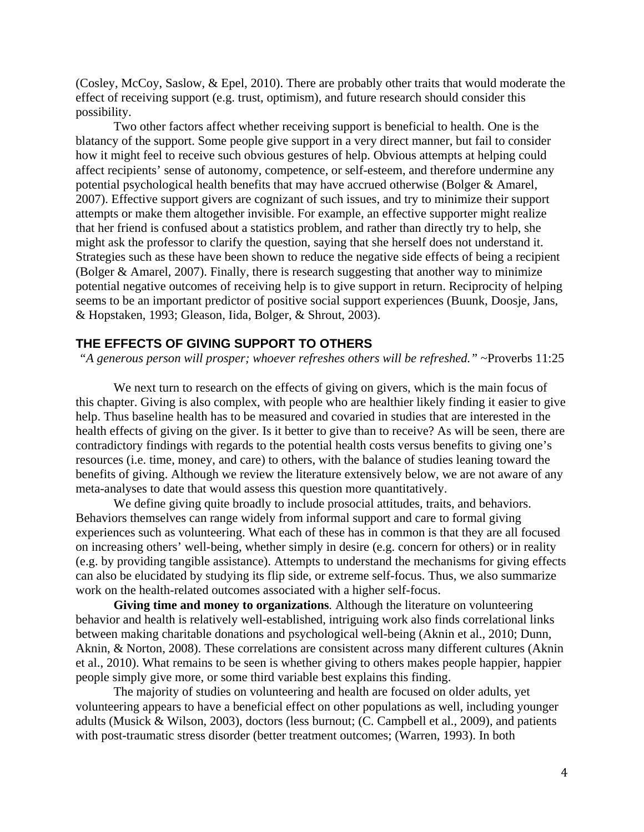(Cosley, McCoy, Saslow, & Epel, 2010). There are probably other traits that would moderate the effect of receiving support (e.g. trust, optimism), and future research should consider this possibility.

Two other factors affect whether receiving support is beneficial to health. One is the blatancy of the support. Some people give support in a very direct manner, but fail to consider how it might feel to receive such obvious gestures of help. Obvious attempts at helping could affect recipients' sense of autonomy, competence, or self-esteem, and therefore undermine any potential psychological health benefits that may have accrued otherwise (Bolger & Amarel, 2007). Effective support givers are cognizant of such issues, and try to minimize their support attempts or make them altogether invisible. For example, an effective supporter might realize that her friend is confused about a statistics problem, and rather than directly try to help, she might ask the professor to clarify the question, saying that she herself does not understand it. Strategies such as these have been shown to reduce the negative side effects of being a recipient (Bolger & Amarel, 2007). Finally, there is research suggesting that another way to minimize potential negative outcomes of receiving help is to give support in return. Reciprocity of helping seems to be an important predictor of positive social support experiences (Buunk, Doosje, Jans, & Hopstaken, 1993; Gleason, Iida, Bolger, & Shrout, 2003).

## **THE EFFECTS OF GIVING SUPPORT TO OTHERS**

*"A generous person will prosper; whoever refreshes others will be refreshed."* ~Proverbs 11:25

We next turn to research on the effects of giving on givers, which is the main focus of this chapter. Giving is also complex, with people who are healthier likely finding it easier to give help. Thus baseline health has to be measured and covaried in studies that are interested in the health effects of giving on the giver. Is it better to give than to receive? As will be seen, there are contradictory findings with regards to the potential health costs versus benefits to giving one's resources (i.e. time, money, and care) to others, with the balance of studies leaning toward the benefits of giving. Although we review the literature extensively below, we are not aware of any meta-analyses to date that would assess this question more quantitatively.

We define giving quite broadly to include prosocial attitudes, traits, and behaviors. Behaviors themselves can range widely from informal support and care to formal giving experiences such as volunteering. What each of these has in common is that they are all focused on increasing others' well-being, whether simply in desire (e.g. concern for others) or in reality (e.g. by providing tangible assistance). Attempts to understand the mechanisms for giving effects can also be elucidated by studying its flip side, or extreme self-focus. Thus, we also summarize work on the health-related outcomes associated with a higher self-focus.

**Giving time and money to organizations***.* Although the literature on volunteering behavior and health is relatively well-established, intriguing work also finds correlational links between making charitable donations and psychological well-being (Aknin et al., 2010; Dunn, Aknin, & Norton, 2008). These correlations are consistent across many different cultures (Aknin et al., 2010). What remains to be seen is whether giving to others makes people happier, happier people simply give more, or some third variable best explains this finding.

The majority of studies on volunteering and health are focused on older adults, yet volunteering appears to have a beneficial effect on other populations as well, including younger adults (Musick & Wilson, 2003), doctors (less burnout; (C. Campbell et al., 2009), and patients with post-traumatic stress disorder (better treatment outcomes; (Warren, 1993). In both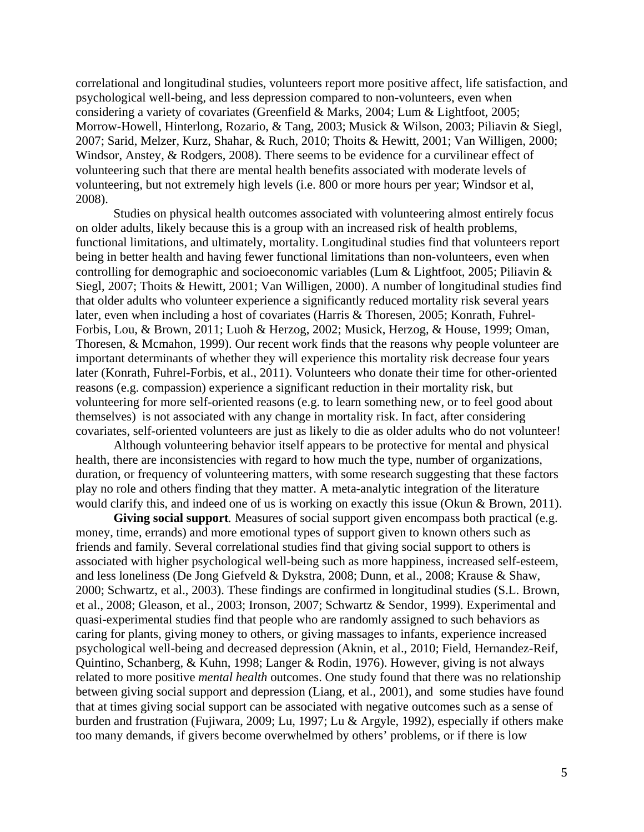correlational and longitudinal studies, volunteers report more positive affect, life satisfaction, and psychological well-being, and less depression compared to non-volunteers, even when considering a variety of covariates (Greenfield & Marks, 2004; Lum & Lightfoot, 2005; Morrow-Howell, Hinterlong, Rozario, & Tang, 2003; Musick & Wilson, 2003; Piliavin & Siegl, 2007; Sarid, Melzer, Kurz, Shahar, & Ruch, 2010; Thoits & Hewitt, 2001; Van Willigen, 2000; Windsor, Anstey, & Rodgers, 2008). There seems to be evidence for a curvilinear effect of volunteering such that there are mental health benefits associated with moderate levels of volunteering, but not extremely high levels (i.e. 800 or more hours per year; Windsor et al, 2008).

Studies on physical health outcomes associated with volunteering almost entirely focus on older adults, likely because this is a group with an increased risk of health problems, functional limitations, and ultimately, mortality. Longitudinal studies find that volunteers report being in better health and having fewer functional limitations than non-volunteers, even when controlling for demographic and socioeconomic variables (Lum & Lightfoot, 2005; Piliavin & Siegl, 2007; Thoits & Hewitt, 2001; Van Willigen, 2000). A number of longitudinal studies find that older adults who volunteer experience a significantly reduced mortality risk several years later, even when including a host of covariates (Harris & Thoresen, 2005; Konrath, Fuhrel-Forbis, Lou, & Brown, 2011; Luoh & Herzog, 2002; Musick, Herzog, & House, 1999; Oman, Thoresen, & Mcmahon, 1999). Our recent work finds that the reasons why people volunteer are important determinants of whether they will experience this mortality risk decrease four years later (Konrath, Fuhrel-Forbis, et al., 2011). Volunteers who donate their time for other-oriented reasons (e.g. compassion) experience a significant reduction in their mortality risk, but volunteering for more self-oriented reasons (e.g. to learn something new, or to feel good about themselves) is not associated with any change in mortality risk. In fact, after considering covariates, self-oriented volunteers are just as likely to die as older adults who do not volunteer!

Although volunteering behavior itself appears to be protective for mental and physical health, there are inconsistencies with regard to how much the type, number of organizations, duration, or frequency of volunteering matters, with some research suggesting that these factors play no role and others finding that they matter. A meta-analytic integration of the literature would clarify this, and indeed one of us is working on exactly this issue (Okun & Brown, 2011).

Giving social support. Measures of social support given encompass both practical (e.g. money, time, errands) and more emotional types of support given to known others such as friends and family. Several correlational studies find that giving social support to others is associated with higher psychological well-being such as more happiness, increased self-esteem, and less loneliness (De Jong Giefveld & Dykstra, 2008; Dunn, et al., 2008; Krause & Shaw, 2000; Schwartz, et al., 2003). These findings are confirmed in longitudinal studies (S.L. Brown, et al., 2008; Gleason, et al., 2003; Ironson, 2007; Schwartz & Sendor, 1999). Experimental and quasi-experimental studies find that people who are randomly assigned to such behaviors as caring for plants, giving money to others, or giving massages to infants, experience increased psychological well-being and decreased depression (Aknin, et al., 2010; Field, Hernandez-Reif, Quintino, Schanberg, & Kuhn, 1998; Langer & Rodin, 1976). However, giving is not always related to more positive *mental health* outcomes. One study found that there was no relationship between giving social support and depression (Liang, et al., 2001), and some studies have found that at times giving social support can be associated with negative outcomes such as a sense of burden and frustration (Fujiwara, 2009; Lu, 1997; Lu & Argyle, 1992), especially if others make too many demands, if givers become overwhelmed by others' problems, or if there is low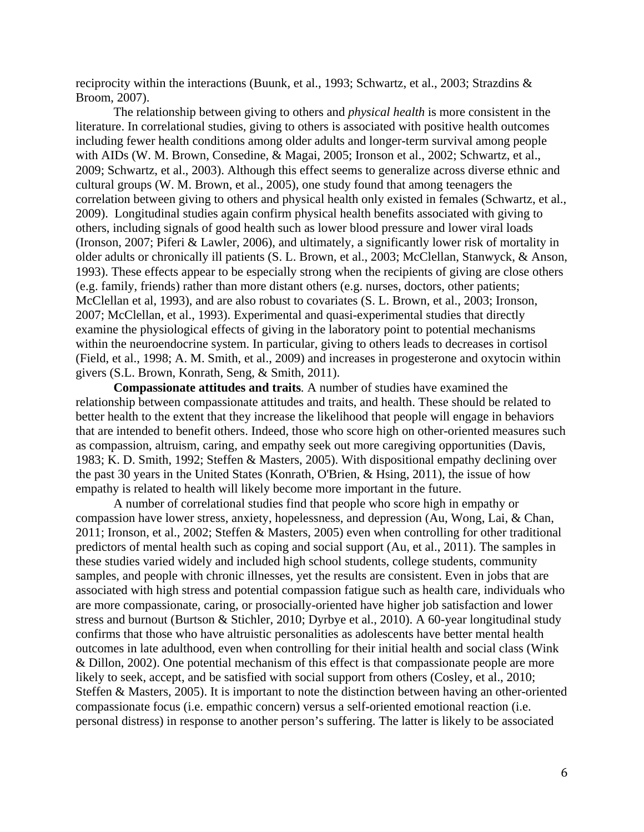reciprocity within the interactions (Buunk, et al., 1993; Schwartz, et al., 2003; Strazdins & Broom, 2007).

The relationship between giving to others and *physical health* is more consistent in the literature. In correlational studies, giving to others is associated with positive health outcomes including fewer health conditions among older adults and longer-term survival among people with AIDs (W. M. Brown, Consedine, & Magai, 2005; Ironson et al., 2002; Schwartz, et al., 2009; Schwartz, et al., 2003). Although this effect seems to generalize across diverse ethnic and cultural groups (W. M. Brown, et al., 2005), one study found that among teenagers the correlation between giving to others and physical health only existed in females (Schwartz, et al., 2009). Longitudinal studies again confirm physical health benefits associated with giving to others, including signals of good health such as lower blood pressure and lower viral loads (Ironson, 2007; Piferi & Lawler, 2006), and ultimately, a significantly lower risk of mortality in older adults or chronically ill patients (S. L. Brown, et al., 2003; McClellan, Stanwyck, & Anson, 1993). These effects appear to be especially strong when the recipients of giving are close others (e.g. family, friends) rather than more distant others (e.g. nurses, doctors, other patients; McClellan et al, 1993), and are also robust to covariates (S. L. Brown, et al., 2003; Ironson, 2007; McClellan, et al., 1993). Experimental and quasi-experimental studies that directly examine the physiological effects of giving in the laboratory point to potential mechanisms within the neuroendocrine system. In particular, giving to others leads to decreases in cortisol (Field, et al., 1998; A. M. Smith, et al., 2009) and increases in progesterone and oxytocin within givers (S.L. Brown, Konrath, Seng, & Smith, 2011).

**Compassionate attitudes and traits***.* A number of studies have examined the relationship between compassionate attitudes and traits, and health. These should be related to better health to the extent that they increase the likelihood that people will engage in behaviors that are intended to benefit others. Indeed, those who score high on other-oriented measures such as compassion, altruism, caring, and empathy seek out more caregiving opportunities (Davis, 1983; K. D. Smith, 1992; Steffen & Masters, 2005). With dispositional empathy declining over the past 30 years in the United States (Konrath, O'Brien, & Hsing, 2011), the issue of how empathy is related to health will likely become more important in the future.

A number of correlational studies find that people who score high in empathy or compassion have lower stress, anxiety, hopelessness, and depression (Au, Wong, Lai, & Chan, 2011; Ironson, et al., 2002; Steffen & Masters, 2005) even when controlling for other traditional predictors of mental health such as coping and social support (Au, et al., 2011). The samples in these studies varied widely and included high school students, college students, community samples, and people with chronic illnesses, yet the results are consistent. Even in jobs that are associated with high stress and potential compassion fatigue such as health care, individuals who are more compassionate, caring, or prosocially-oriented have higher job satisfaction and lower stress and burnout (Burtson & Stichler, 2010; Dyrbye et al., 2010). A 60-year longitudinal study confirms that those who have altruistic personalities as adolescents have better mental health outcomes in late adulthood, even when controlling for their initial health and social class (Wink & Dillon, 2002). One potential mechanism of this effect is that compassionate people are more likely to seek, accept, and be satisfied with social support from others (Cosley, et al., 2010; Steffen & Masters, 2005). It is important to note the distinction between having an other-oriented compassionate focus (i.e. empathic concern) versus a self-oriented emotional reaction (i.e. personal distress) in response to another person's suffering. The latter is likely to be associated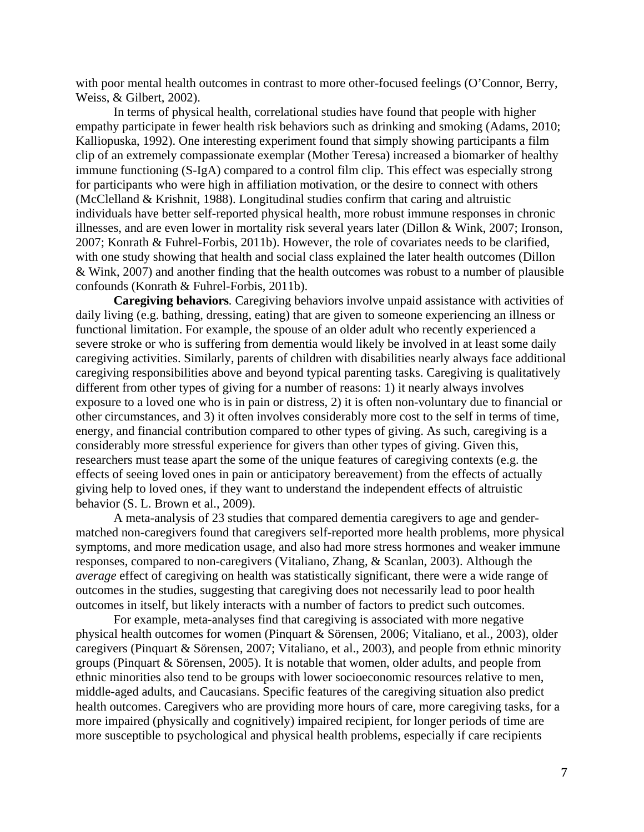with poor mental health outcomes in contrast to more other-focused feelings (O'Connor, Berry, Weiss, & Gilbert, 2002).

In terms of physical health, correlational studies have found that people with higher empathy participate in fewer health risk behaviors such as drinking and smoking (Adams, 2010; Kalliopuska, 1992). One interesting experiment found that simply showing participants a film clip of an extremely compassionate exemplar (Mother Teresa) increased a biomarker of healthy immune functioning (S-IgA) compared to a control film clip. This effect was especially strong for participants who were high in affiliation motivation, or the desire to connect with others (McClelland & Krishnit, 1988). Longitudinal studies confirm that caring and altruistic individuals have better self-reported physical health, more robust immune responses in chronic illnesses, and are even lower in mortality risk several years later (Dillon & Wink, 2007; Ironson, 2007; Konrath & Fuhrel-Forbis, 2011b). However, the role of covariates needs to be clarified, with one study showing that health and social class explained the later health outcomes (Dillon & Wink, 2007) and another finding that the health outcomes was robust to a number of plausible confounds (Konrath & Fuhrel-Forbis, 2011b).

**Caregiving behaviors***.* Caregiving behaviors involve unpaid assistance with activities of daily living (e.g. bathing, dressing, eating) that are given to someone experiencing an illness or functional limitation. For example, the spouse of an older adult who recently experienced a severe stroke or who is suffering from dementia would likely be involved in at least some daily caregiving activities. Similarly, parents of children with disabilities nearly always face additional caregiving responsibilities above and beyond typical parenting tasks. Caregiving is qualitatively different from other types of giving for a number of reasons: 1) it nearly always involves exposure to a loved one who is in pain or distress, 2) it is often non-voluntary due to financial or other circumstances, and 3) it often involves considerably more cost to the self in terms of time, energy, and financial contribution compared to other types of giving. As such, caregiving is a considerably more stressful experience for givers than other types of giving. Given this, researchers must tease apart the some of the unique features of caregiving contexts (e.g. the effects of seeing loved ones in pain or anticipatory bereavement) from the effects of actually giving help to loved ones, if they want to understand the independent effects of altruistic behavior (S. L. Brown et al., 2009).

 A meta-analysis of 23 studies that compared dementia caregivers to age and gendermatched non-caregivers found that caregivers self-reported more health problems, more physical symptoms, and more medication usage, and also had more stress hormones and weaker immune responses, compared to non-caregivers (Vitaliano, Zhang, & Scanlan, 2003). Although the *average* effect of caregiving on health was statistically significant, there were a wide range of outcomes in the studies, suggesting that caregiving does not necessarily lead to poor health outcomes in itself, but likely interacts with a number of factors to predict such outcomes.

For example, meta-analyses find that caregiving is associated with more negative physical health outcomes for women (Pinquart & Sörensen, 2006; Vitaliano, et al., 2003), older caregivers (Pinquart & Sörensen, 2007; Vitaliano, et al., 2003), and people from ethnic minority groups (Pinquart & Sörensen, 2005). It is notable that women, older adults, and people from ethnic minorities also tend to be groups with lower socioeconomic resources relative to men, middle-aged adults, and Caucasians. Specific features of the caregiving situation also predict health outcomes. Caregivers who are providing more hours of care, more caregiving tasks, for a more impaired (physically and cognitively) impaired recipient, for longer periods of time are more susceptible to psychological and physical health problems, especially if care recipients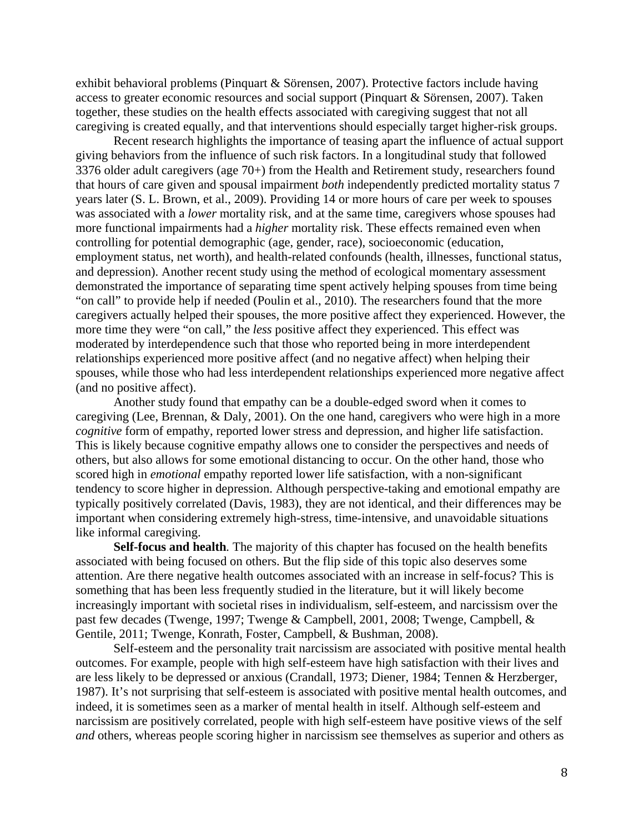exhibit behavioral problems (Pinquart & Sörensen, 2007). Protective factors include having access to greater economic resources and social support (Pinquart & Sörensen, 2007). Taken together, these studies on the health effects associated with caregiving suggest that not all caregiving is created equally, and that interventions should especially target higher-risk groups.

 Recent research highlights the importance of teasing apart the influence of actual support giving behaviors from the influence of such risk factors. In a longitudinal study that followed 3376 older adult caregivers (age 70+) from the Health and Retirement study, researchers found that hours of care given and spousal impairment *both* independently predicted mortality status 7 years later (S. L. Brown, et al., 2009). Providing 14 or more hours of care per week to spouses was associated with a *lower* mortality risk, and at the same time, caregivers whose spouses had more functional impairments had a *higher* mortality risk. These effects remained even when controlling for potential demographic (age, gender, race), socioeconomic (education, employment status, net worth), and health-related confounds (health, illnesses, functional status, and depression). Another recent study using the method of ecological momentary assessment demonstrated the importance of separating time spent actively helping spouses from time being "on call" to provide help if needed (Poulin et al., 2010). The researchers found that the more caregivers actually helped their spouses, the more positive affect they experienced. However, the more time they were "on call," the *less* positive affect they experienced. This effect was moderated by interdependence such that those who reported being in more interdependent relationships experienced more positive affect (and no negative affect) when helping their spouses, while those who had less interdependent relationships experienced more negative affect (and no positive affect).

Another study found that empathy can be a double-edged sword when it comes to caregiving (Lee, Brennan, & Daly, 2001). On the one hand, caregivers who were high in a more *cognitive* form of empathy, reported lower stress and depression, and higher life satisfaction. This is likely because cognitive empathy allows one to consider the perspectives and needs of others, but also allows for some emotional distancing to occur. On the other hand, those who scored high in *emotional* empathy reported lower life satisfaction, with a non-significant tendency to score higher in depression. Although perspective-taking and emotional empathy are typically positively correlated (Davis, 1983), they are not identical, and their differences may be important when considering extremely high-stress, time-intensive, and unavoidable situations like informal caregiving.

**Self-focus and health***.* The majority of this chapter has focused on the health benefits associated with being focused on others. But the flip side of this topic also deserves some attention. Are there negative health outcomes associated with an increase in self-focus? This is something that has been less frequently studied in the literature, but it will likely become increasingly important with societal rises in individualism, self-esteem, and narcissism over the past few decades (Twenge, 1997; Twenge & Campbell, 2001, 2008; Twenge, Campbell, & Gentile, 2011; Twenge, Konrath, Foster, Campbell, & Bushman, 2008).

 Self-esteem and the personality trait narcissism are associated with positive mental health outcomes. For example, people with high self-esteem have high satisfaction with their lives and are less likely to be depressed or anxious (Crandall, 1973; Diener, 1984; Tennen & Herzberger, 1987). It's not surprising that self-esteem is associated with positive mental health outcomes, and indeed, it is sometimes seen as a marker of mental health in itself. Although self-esteem and narcissism are positively correlated, people with high self-esteem have positive views of the self *and* others, whereas people scoring higher in narcissism see themselves as superior and others as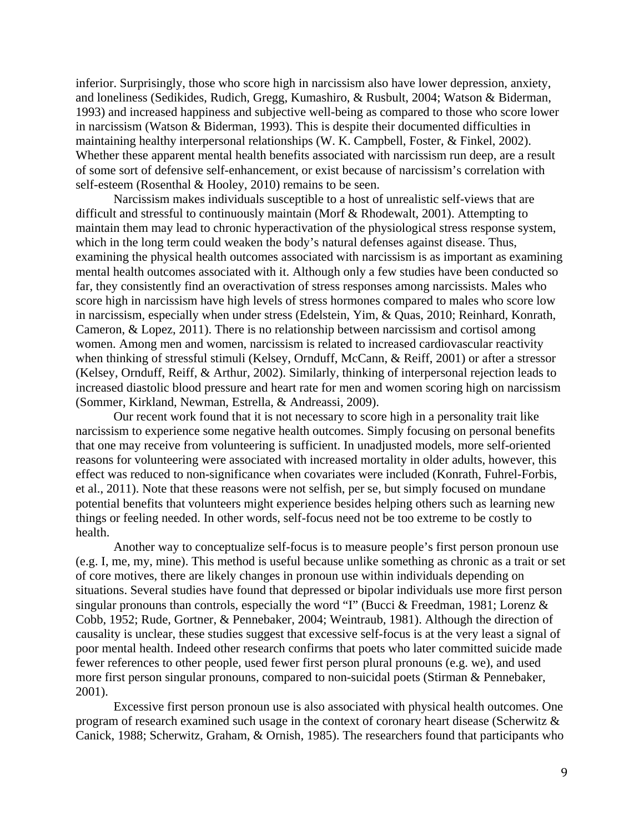inferior. Surprisingly, those who score high in narcissism also have lower depression, anxiety, and loneliness (Sedikides, Rudich, Gregg, Kumashiro, & Rusbult, 2004; Watson & Biderman, 1993) and increased happiness and subjective well-being as compared to those who score lower in narcissism (Watson & Biderman, 1993). This is despite their documented difficulties in maintaining healthy interpersonal relationships (W. K. Campbell, Foster, & Finkel, 2002). Whether these apparent mental health benefits associated with narcissism run deep, are a result of some sort of defensive self-enhancement, or exist because of narcissism's correlation with self-esteem (Rosenthal & Hooley, 2010) remains to be seen.

 Narcissism makes individuals susceptible to a host of unrealistic self-views that are difficult and stressful to continuously maintain (Morf & Rhodewalt, 2001). Attempting to maintain them may lead to chronic hyperactivation of the physiological stress response system, which in the long term could weaken the body's natural defenses against disease. Thus, examining the physical health outcomes associated with narcissism is as important as examining mental health outcomes associated with it. Although only a few studies have been conducted so far, they consistently find an overactivation of stress responses among narcissists. Males who score high in narcissism have high levels of stress hormones compared to males who score low in narcissism, especially when under stress (Edelstein, Yim, & Quas, 2010; Reinhard, Konrath, Cameron, & Lopez, 2011). There is no relationship between narcissism and cortisol among women. Among men and women, narcissism is related to increased cardiovascular reactivity when thinking of stressful stimuli (Kelsey, Ornduff, McCann, & Reiff, 2001) or after a stressor (Kelsey, Ornduff, Reiff, & Arthur, 2002). Similarly, thinking of interpersonal rejection leads to increased diastolic blood pressure and heart rate for men and women scoring high on narcissism (Sommer, Kirkland, Newman, Estrella, & Andreassi, 2009).

 Our recent work found that it is not necessary to score high in a personality trait like narcissism to experience some negative health outcomes. Simply focusing on personal benefits that one may receive from volunteering is sufficient. In unadjusted models, more self-oriented reasons for volunteering were associated with increased mortality in older adults, however, this effect was reduced to non-significance when covariates were included (Konrath, Fuhrel-Forbis, et al., 2011). Note that these reasons were not selfish, per se, but simply focused on mundane potential benefits that volunteers might experience besides helping others such as learning new things or feeling needed. In other words, self-focus need not be too extreme to be costly to health.

 Another way to conceptualize self-focus is to measure people's first person pronoun use (e.g. I, me, my, mine). This method is useful because unlike something as chronic as a trait or set of core motives, there are likely changes in pronoun use within individuals depending on situations. Several studies have found that depressed or bipolar individuals use more first person singular pronouns than controls, especially the word "I" (Bucci & Freedman, 1981; Lorenz & Cobb, 1952; Rude, Gortner, & Pennebaker, 2004; Weintraub, 1981). Although the direction of causality is unclear, these studies suggest that excessive self-focus is at the very least a signal of poor mental health. Indeed other research confirms that poets who later committed suicide made fewer references to other people, used fewer first person plural pronouns (e.g. we), and used more first person singular pronouns, compared to non-suicidal poets (Stirman & Pennebaker, 2001).

 Excessive first person pronoun use is also associated with physical health outcomes. One program of research examined such usage in the context of coronary heart disease (Scherwitz & Canick, 1988; Scherwitz, Graham, & Ornish, 1985). The researchers found that participants who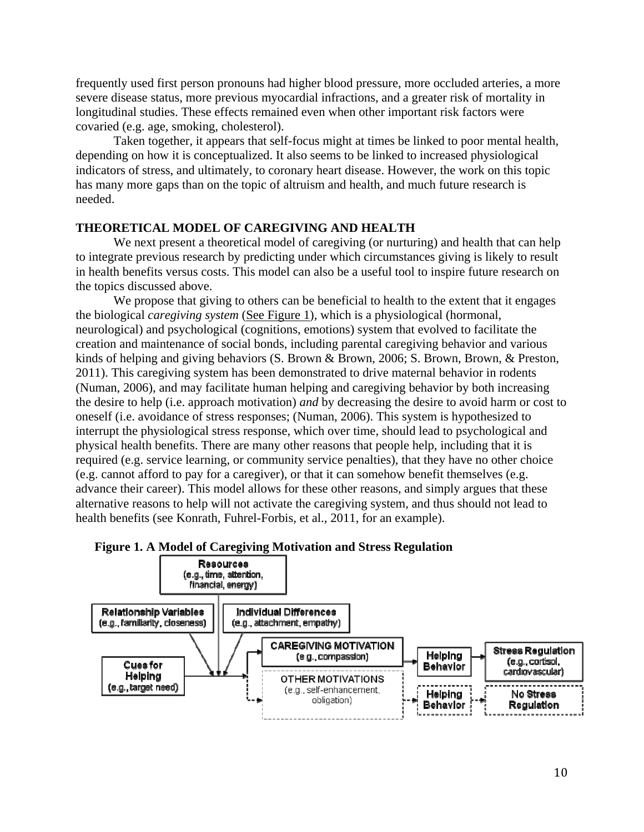frequently used first person pronouns had higher blood pressure, more occluded arteries, a more severe disease status, more previous myocardial infractions, and a greater risk of mortality in longitudinal studies. These effects remained even when other important risk factors were covaried (e.g. age, smoking, cholesterol).

 Taken together, it appears that self-focus might at times be linked to poor mental health, depending on how it is conceptualized. It also seems to be linked to increased physiological indicators of stress, and ultimately, to coronary heart disease. However, the work on this topic has many more gaps than on the topic of altruism and health, and much future research is needed.

## **THEORETICAL MODEL OF CAREGIVING AND HEALTH**

We next present a theoretical model of caregiving (or nurturing) and health that can help to integrate previous research by predicting under which circumstances giving is likely to result in health benefits versus costs. This model can also be a useful tool to inspire future research on the topics discussed above.

We propose that giving to others can be beneficial to health to the extent that it engages the biological *caregiving system* (See Figure 1)*,* which is a physiological (hormonal, neurological) and psychological (cognitions, emotions) system that evolved to facilitate the creation and maintenance of social bonds, including parental caregiving behavior and various kinds of helping and giving behaviors (S. Brown & Brown, 2006; S. Brown, Brown, & Preston, 2011). This caregiving system has been demonstrated to drive maternal behavior in rodents (Numan, 2006), and may facilitate human helping and caregiving behavior by both increasing the desire to help (i.e. approach motivation) *and* by decreasing the desire to avoid harm or cost to oneself (i.e. avoidance of stress responses; (Numan, 2006). This system is hypothesized to interrupt the physiological stress response, which over time, should lead to psychological and physical health benefits. There are many other reasons that people help, including that it is required (e.g. service learning, or community service penalties), that they have no other choice (e.g. cannot afford to pay for a caregiver), or that it can somehow benefit themselves (e.g. advance their career). This model allows for these other reasons, and simply argues that these alternative reasons to help will not activate the caregiving system, and thus should not lead to health benefits (see Konrath, Fuhrel-Forbis, et al., 2011, for an example).



#### **Figure 1. A Model of Caregiving Motivation and Stress Regulation**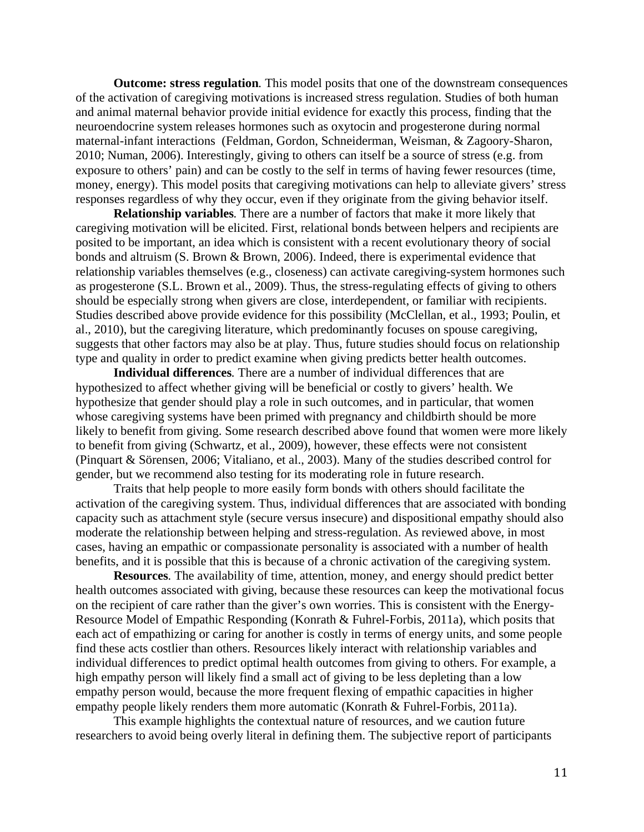**Outcome: stress regulation***.* This model posits that one of the downstream consequences of the activation of caregiving motivations is increased stress regulation. Studies of both human and animal maternal behavior provide initial evidence for exactly this process, finding that the neuroendocrine system releases hormones such as oxytocin and progesterone during normal maternal-infant interactions (Feldman, Gordon, Schneiderman, Weisman, & Zagoory-Sharon, 2010; Numan, 2006). Interestingly, giving to others can itself be a source of stress (e.g. from exposure to others' pain) and can be costly to the self in terms of having fewer resources (time, money, energy). This model posits that caregiving motivations can help to alleviate givers' stress responses regardless of why they occur, even if they originate from the giving behavior itself.

**Relationship variables***.* There are a number of factors that make it more likely that caregiving motivation will be elicited. First, relational bonds between helpers and recipients are posited to be important, an idea which is consistent with a recent evolutionary theory of social bonds and altruism (S. Brown & Brown, 2006). Indeed, there is experimental evidence that relationship variables themselves (e.g., closeness) can activate caregiving-system hormones such as progesterone (S.L. Brown et al., 2009). Thus, the stress-regulating effects of giving to others should be especially strong when givers are close, interdependent, or familiar with recipients. Studies described above provide evidence for this possibility (McClellan, et al., 1993; Poulin, et al., 2010), but the caregiving literature, which predominantly focuses on spouse caregiving, suggests that other factors may also be at play. Thus, future studies should focus on relationship type and quality in order to predict examine when giving predicts better health outcomes.

**Individual differences***.* There are a number of individual differences that are hypothesized to affect whether giving will be beneficial or costly to givers' health. We hypothesize that gender should play a role in such outcomes, and in particular, that women whose caregiving systems have been primed with pregnancy and childbirth should be more likely to benefit from giving. Some research described above found that women were more likely to benefit from giving (Schwartz, et al., 2009), however, these effects were not consistent (Pinquart & Sörensen, 2006; Vitaliano, et al., 2003). Many of the studies described control for gender, but we recommend also testing for its moderating role in future research.

Traits that help people to more easily form bonds with others should facilitate the activation of the caregiving system. Thus, individual differences that are associated with bonding capacity such as attachment style (secure versus insecure) and dispositional empathy should also moderate the relationship between helping and stress-regulation. As reviewed above, in most cases, having an empathic or compassionate personality is associated with a number of health benefits, and it is possible that this is because of a chronic activation of the caregiving system.

**Resources***.* The availability of time, attention, money, and energy should predict better health outcomes associated with giving, because these resources can keep the motivational focus on the recipient of care rather than the giver's own worries. This is consistent with the Energy-Resource Model of Empathic Responding (Konrath & Fuhrel-Forbis, 2011a), which posits that each act of empathizing or caring for another is costly in terms of energy units, and some people find these acts costlier than others. Resources likely interact with relationship variables and individual differences to predict optimal health outcomes from giving to others. For example, a high empathy person will likely find a small act of giving to be less depleting than a low empathy person would, because the more frequent flexing of empathic capacities in higher empathy people likely renders them more automatic (Konrath & Fuhrel-Forbis, 2011a).

This example highlights the contextual nature of resources, and we caution future researchers to avoid being overly literal in defining them. The subjective report of participants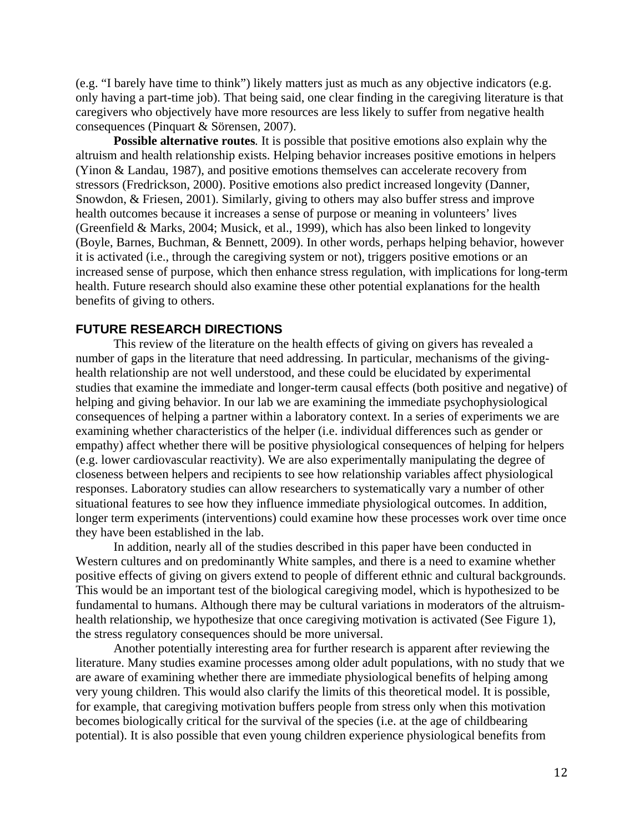(e.g. "I barely have time to think") likely matters just as much as any objective indicators (e.g. only having a part-time job). That being said, one clear finding in the caregiving literature is that caregivers who objectively have more resources are less likely to suffer from negative health consequences (Pinquart & Sörensen, 2007).

**Possible alternative routes***.* It is possible that positive emotions also explain why the altruism and health relationship exists. Helping behavior increases positive emotions in helpers (Yinon & Landau, 1987), and positive emotions themselves can accelerate recovery from stressors (Fredrickson, 2000). Positive emotions also predict increased longevity (Danner, Snowdon, & Friesen, 2001). Similarly, giving to others may also buffer stress and improve health outcomes because it increases a sense of purpose or meaning in volunteers' lives (Greenfield & Marks, 2004; Musick, et al., 1999), which has also been linked to longevity (Boyle, Barnes, Buchman, & Bennett, 2009). In other words, perhaps helping behavior, however it is activated (i.e., through the caregiving system or not), triggers positive emotions or an increased sense of purpose, which then enhance stress regulation, with implications for long-term health. Future research should also examine these other potential explanations for the health benefits of giving to others.

# **FUTURE RESEARCH DIRECTIONS**

 This review of the literature on the health effects of giving on givers has revealed a number of gaps in the literature that need addressing. In particular, mechanisms of the givinghealth relationship are not well understood, and these could be elucidated by experimental studies that examine the immediate and longer-term causal effects (both positive and negative) of helping and giving behavior. In our lab we are examining the immediate psychophysiological consequences of helping a partner within a laboratory context. In a series of experiments we are examining whether characteristics of the helper (i.e. individual differences such as gender or empathy) affect whether there will be positive physiological consequences of helping for helpers (e.g. lower cardiovascular reactivity). We are also experimentally manipulating the degree of closeness between helpers and recipients to see how relationship variables affect physiological responses. Laboratory studies can allow researchers to systematically vary a number of other situational features to see how they influence immediate physiological outcomes. In addition, longer term experiments (interventions) could examine how these processes work over time once they have been established in the lab.

 In addition, nearly all of the studies described in this paper have been conducted in Western cultures and on predominantly White samples, and there is a need to examine whether positive effects of giving on givers extend to people of different ethnic and cultural backgrounds. This would be an important test of the biological caregiving model, which is hypothesized to be fundamental to humans. Although there may be cultural variations in moderators of the altruismhealth relationship, we hypothesize that once caregiving motivation is activated (See Figure 1), the stress regulatory consequences should be more universal.

 Another potentially interesting area for further research is apparent after reviewing the literature. Many studies examine processes among older adult populations, with no study that we are aware of examining whether there are immediate physiological benefits of helping among very young children. This would also clarify the limits of this theoretical model. It is possible, for example, that caregiving motivation buffers people from stress only when this motivation becomes biologically critical for the survival of the species (i.e. at the age of childbearing potential). It is also possible that even young children experience physiological benefits from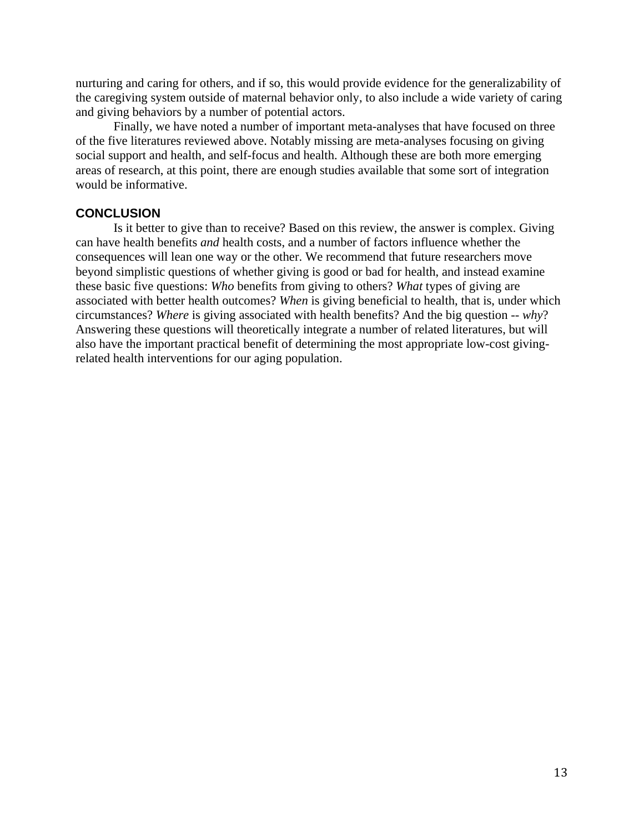nurturing and caring for others, and if so, this would provide evidence for the generalizability of the caregiving system outside of maternal behavior only, to also include a wide variety of caring and giving behaviors by a number of potential actors.

 Finally, we have noted a number of important meta-analyses that have focused on three of the five literatures reviewed above. Notably missing are meta-analyses focusing on giving social support and health, and self-focus and health. Although these are both more emerging areas of research, at this point, there are enough studies available that some sort of integration would be informative.

# **CONCLUSION**

Is it better to give than to receive? Based on this review, the answer is complex. Giving can have health benefits *and* health costs, and a number of factors influence whether the consequences will lean one way or the other. We recommend that future researchers move beyond simplistic questions of whether giving is good or bad for health, and instead examine these basic five questions: *Who* benefits from giving to others? *What* types of giving are associated with better health outcomes? *When* is giving beneficial to health, that is, under which circumstances? *Where* is giving associated with health benefits? And the big question -- *why*? Answering these questions will theoretically integrate a number of related literatures, but will also have the important practical benefit of determining the most appropriate low-cost givingrelated health interventions for our aging population.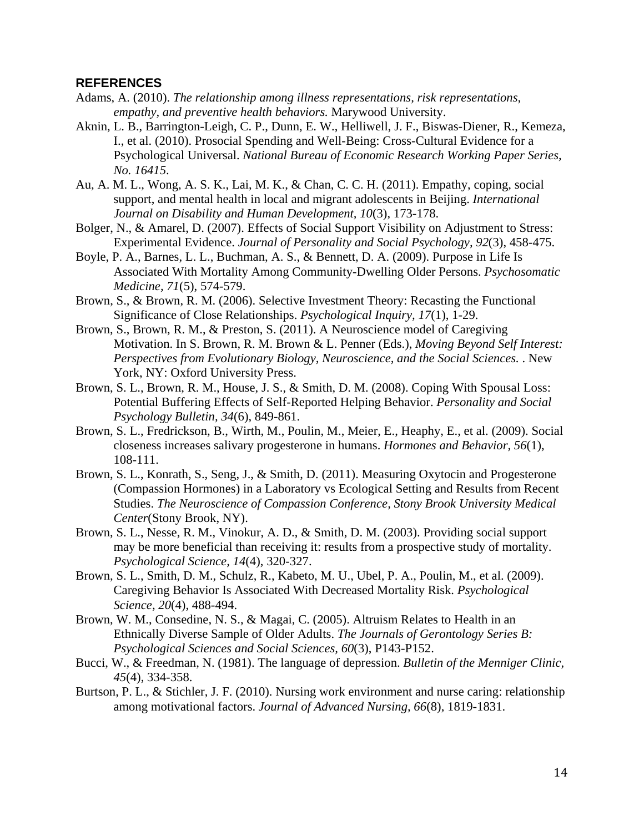## **REFERENCES**

- Adams, A. (2010). *The relationship among illness representations, risk representations, empathy, and preventive health behaviors.* Marywood University.
- Aknin, L. B., Barrington-Leigh, C. P., Dunn, E. W., Helliwell, J. F., Biswas-Diener, R., Kemeza, I., et al. (2010). Prosocial Spending and Well-Being: Cross-Cultural Evidence for a Psychological Universal. *National Bureau of Economic Research Working Paper Series, No. 16415*.
- Au, A. M. L., Wong, A. S. K., Lai, M. K., & Chan, C. C. H. (2011). Empathy, coping, social support, and mental health in local and migrant adolescents in Beijing. *International Journal on Disability and Human Development, 10*(3), 173-178.
- Bolger, N., & Amarel, D. (2007). Effects of Social Support Visibility on Adjustment to Stress: Experimental Evidence. *Journal of Personality and Social Psychology, 92*(3), 458-475.
- Boyle, P. A., Barnes, L. L., Buchman, A. S., & Bennett, D. A. (2009). Purpose in Life Is Associated With Mortality Among Community-Dwelling Older Persons. *Psychosomatic Medicine, 71*(5), 574-579.
- Brown, S., & Brown, R. M. (2006). Selective Investment Theory: Recasting the Functional Significance of Close Relationships. *Psychological Inquiry, 17*(1), 1-29.
- Brown, S., Brown, R. M., & Preston, S. (2011). A Neuroscience model of Caregiving Motivation. In S. Brown, R. M. Brown & L. Penner (Eds.), *Moving Beyond Self Interest: Perspectives from Evolutionary Biology, Neuroscience, and the Social Sciences.* . New York, NY: Oxford University Press.
- Brown, S. L., Brown, R. M., House, J. S., & Smith, D. M. (2008). Coping With Spousal Loss: Potential Buffering Effects of Self-Reported Helping Behavior. *Personality and Social Psychology Bulletin, 34*(6), 849-861.
- Brown, S. L., Fredrickson, B., Wirth, M., Poulin, M., Meier, E., Heaphy, E., et al. (2009). Social closeness increases salivary progesterone in humans. *Hormones and Behavior, 56*(1), 108-111.
- Brown, S. L., Konrath, S., Seng, J., & Smith, D. (2011). Measuring Oxytocin and Progesterone (Compassion Hormones) in a Laboratory vs Ecological Setting and Results from Recent Studies. *The Neuroscience of Compassion Conference, Stony Brook University Medical Center*(Stony Brook, NY).
- Brown, S. L., Nesse, R. M., Vinokur, A. D., & Smith, D. M. (2003). Providing social support may be more beneficial than receiving it: results from a prospective study of mortality. *Psychological Science, 14*(4), 320-327.
- Brown, S. L., Smith, D. M., Schulz, R., Kabeto, M. U., Ubel, P. A., Poulin, M., et al. (2009). Caregiving Behavior Is Associated With Decreased Mortality Risk. *Psychological Science, 20*(4), 488-494.
- Brown, W. M., Consedine, N. S., & Magai, C. (2005). Altruism Relates to Health in an Ethnically Diverse Sample of Older Adults. *The Journals of Gerontology Series B: Psychological Sciences and Social Sciences, 60*(3), P143-P152.
- Bucci, W., & Freedman, N. (1981). The language of depression. *Bulletin of the Menniger Clinic, 45*(4), 334-358.
- Burtson, P. L., & Stichler, J. F. (2010). Nursing work environment and nurse caring: relationship among motivational factors. *Journal of Advanced Nursing, 66*(8), 1819-1831.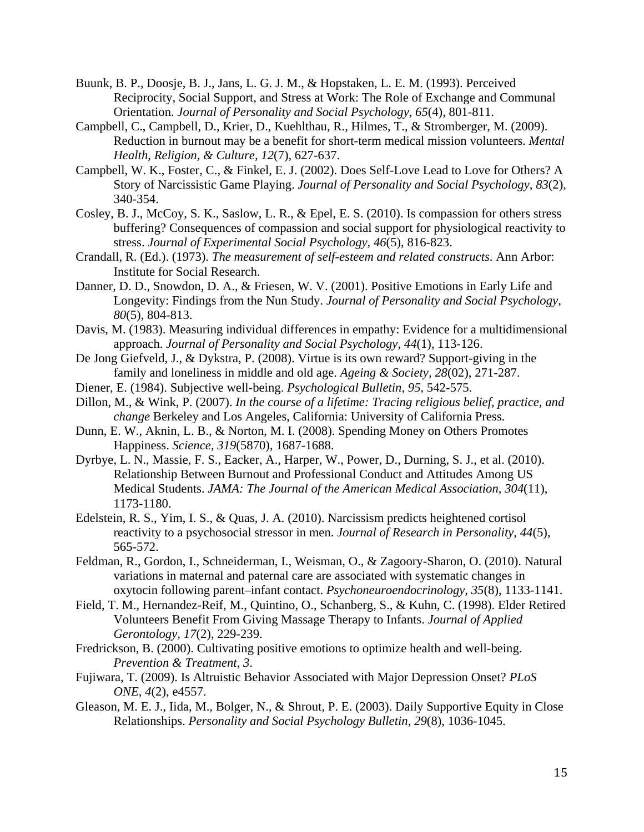- Buunk, B. P., Doosje, B. J., Jans, L. G. J. M., & Hopstaken, L. E. M. (1993). Perceived Reciprocity, Social Support, and Stress at Work: The Role of Exchange and Communal Orientation. *Journal of Personality and Social Psychology, 65*(4), 801-811.
- Campbell, C., Campbell, D., Krier, D., Kuehlthau, R., Hilmes, T., & Stromberger, M. (2009). Reduction in burnout may be a benefit for short-term medical mission volunteers. *Mental Health, Religion, & Culture, 12*(7), 627-637.
- Campbell, W. K., Foster, C., & Finkel, E. J. (2002). Does Self-Love Lead to Love for Others? A Story of Narcissistic Game Playing. *Journal of Personality and Social Psychology, 83*(2), 340-354.
- Cosley, B. J., McCoy, S. K., Saslow, L. R., & Epel, E. S. (2010). Is compassion for others stress buffering? Consequences of compassion and social support for physiological reactivity to stress. *Journal of Experimental Social Psychology, 46*(5), 816-823.
- Crandall, R. (Ed.). (1973). *The measurement of self-esteem and related constructs*. Ann Arbor: Institute for Social Research.
- Danner, D. D., Snowdon, D. A., & Friesen, W. V. (2001). Positive Emotions in Early Life and Longevity: Findings from the Nun Study. *Journal of Personality and Social Psychology, 80*(5), 804-813.
- Davis, M. (1983). Measuring individual differences in empathy: Evidence for a multidimensional approach. *Journal of Personality and Social Psychology, 44*(1), 113-126.
- De Jong Giefveld, J., & Dykstra, P. (2008). Virtue is its own reward? Support-giving in the family and loneliness in middle and old age. *Ageing & Society, 28*(02), 271-287.
- Diener, E. (1984). Subjective well-being. *Psychological Bulletin, 95*, 542-575.
- Dillon, M., & Wink, P. (2007). *In the course of a lifetime: Tracing religious belief, practice, and change* Berkeley and Los Angeles, California: University of California Press.
- Dunn, E. W., Aknin, L. B., & Norton, M. I. (2008). Spending Money on Others Promotes Happiness. *Science, 319*(5870), 1687-1688.
- Dyrbye, L. N., Massie, F. S., Eacker, A., Harper, W., Power, D., Durning, S. J., et al. (2010). Relationship Between Burnout and Professional Conduct and Attitudes Among US Medical Students. *JAMA: The Journal of the American Medical Association, 304*(11), 1173-1180.
- Edelstein, R. S., Yim, I. S., & Quas, J. A. (2010). Narcissism predicts heightened cortisol reactivity to a psychosocial stressor in men. *Journal of Research in Personality, 44*(5), 565-572.
- Feldman, R., Gordon, I., Schneiderman, I., Weisman, O., & Zagoory-Sharon, O. (2010). Natural variations in maternal and paternal care are associated with systematic changes in oxytocin following parent–infant contact. *Psychoneuroendocrinology, 35*(8), 1133-1141.
- Field, T. M., Hernandez-Reif, M., Quintino, O., Schanberg, S., & Kuhn, C. (1998). Elder Retired Volunteers Benefit From Giving Massage Therapy to Infants. *Journal of Applied Gerontology, 17*(2), 229-239.
- Fredrickson, B. (2000). Cultivating positive emotions to optimize health and well-being. *Prevention & Treatment, 3*.
- Fujiwara, T. (2009). Is Altruistic Behavior Associated with Major Depression Onset? *PLoS ONE, 4*(2), e4557.
- Gleason, M. E. J., Iida, M., Bolger, N., & Shrout, P. E. (2003). Daily Supportive Equity in Close Relationships. *Personality and Social Psychology Bulletin, 29*(8), 1036-1045.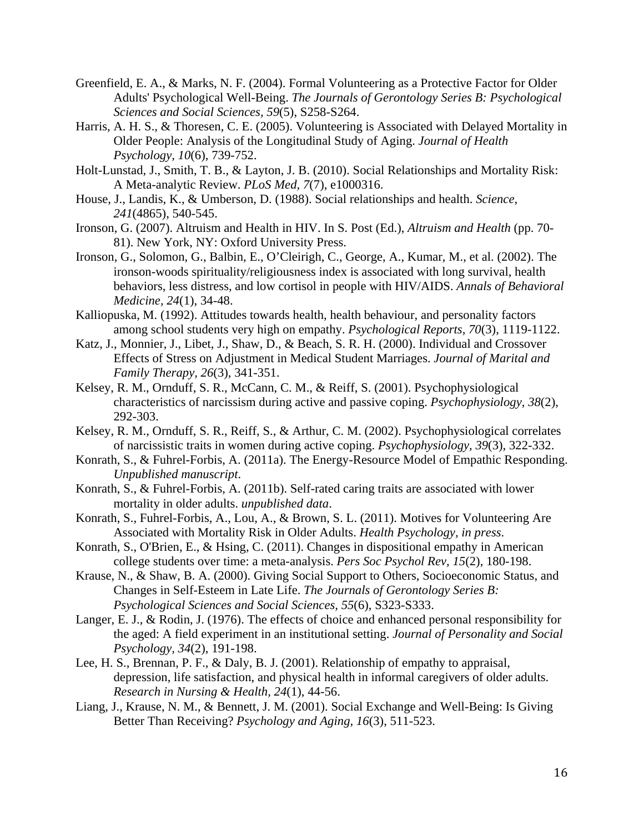- Greenfield, E. A., & Marks, N. F. (2004). Formal Volunteering as a Protective Factor for Older Adults' Psychological Well-Being. *The Journals of Gerontology Series B: Psychological Sciences and Social Sciences, 59*(5), S258-S264.
- Harris, A. H. S., & Thoresen, C. E. (2005). Volunteering is Associated with Delayed Mortality in Older People: Analysis of the Longitudinal Study of Aging. *Journal of Health Psychology, 10*(6), 739-752.
- Holt-Lunstad, J., Smith, T. B., & Layton, J. B. (2010). Social Relationships and Mortality Risk: A Meta-analytic Review. *PLoS Med, 7*(7), e1000316.
- House, J., Landis, K., & Umberson, D. (1988). Social relationships and health. *Science, 241*(4865), 540-545.
- Ironson, G. (2007). Altruism and Health in HIV. In S. Post (Ed.), *Altruism and Health* (pp. 70- 81). New York, NY: Oxford University Press.
- Ironson, G., Solomon, G., Balbin, E., O'Cleirigh, C., George, A., Kumar, M., et al. (2002). The ironson-woods spirituality/religiousness index is associated with long survival, health behaviors, less distress, and low cortisol in people with HIV/AIDS. *Annals of Behavioral Medicine, 24*(1), 34-48.
- Kalliopuska, M. (1992). Attitudes towards health, health behaviour, and personality factors among school students very high on empathy. *Psychological Reports, 70*(3), 1119-1122.
- Katz, J., Monnier, J., Libet, J., Shaw, D., & Beach, S. R. H. (2000). Individual and Crossover Effects of Stress on Adjustment in Medical Student Marriages. *Journal of Marital and Family Therapy, 26*(3), 341-351.
- Kelsey, R. M., Ornduff, S. R., McCann, C. M., & Reiff, S. (2001). Psychophysiological characteristics of narcissism during active and passive coping. *Psychophysiology, 38*(2), 292-303.
- Kelsey, R. M., Ornduff, S. R., Reiff, S., & Arthur, C. M. (2002). Psychophysiological correlates of narcissistic traits in women during active coping. *Psychophysiology, 39*(3), 322-332.
- Konrath, S., & Fuhrel-Forbis, A. (2011a). The Energy-Resource Model of Empathic Responding. *Unpublished manuscript*.
- Konrath, S., & Fuhrel-Forbis, A. (2011b). Self-rated caring traits are associated with lower mortality in older adults. *unpublished data*.
- Konrath, S., Fuhrel-Forbis, A., Lou, A., & Brown, S. L. (2011). Motives for Volunteering Are Associated with Mortality Risk in Older Adults. *Health Psychology, in press*.
- Konrath, S., O'Brien, E., & Hsing, C. (2011). Changes in dispositional empathy in American college students over time: a meta-analysis. *Pers Soc Psychol Rev, 15*(2), 180-198.
- Krause, N., & Shaw, B. A. (2000). Giving Social Support to Others, Socioeconomic Status, and Changes in Self-Esteem in Late Life. *The Journals of Gerontology Series B: Psychological Sciences and Social Sciences, 55*(6), S323-S333.
- Langer, E. J., & Rodin, J. (1976). The effects of choice and enhanced personal responsibility for the aged: A field experiment in an institutional setting. *Journal of Personality and Social Psychology, 34*(2), 191-198.
- Lee, H. S., Brennan, P. F., & Daly, B. J. (2001). Relationship of empathy to appraisal, depression, life satisfaction, and physical health in informal caregivers of older adults. *Research in Nursing & Health, 24*(1), 44-56.
- Liang, J., Krause, N. M., & Bennett, J. M. (2001). Social Exchange and Well-Being: Is Giving Better Than Receiving? *Psychology and Aging, 16*(3), 511-523.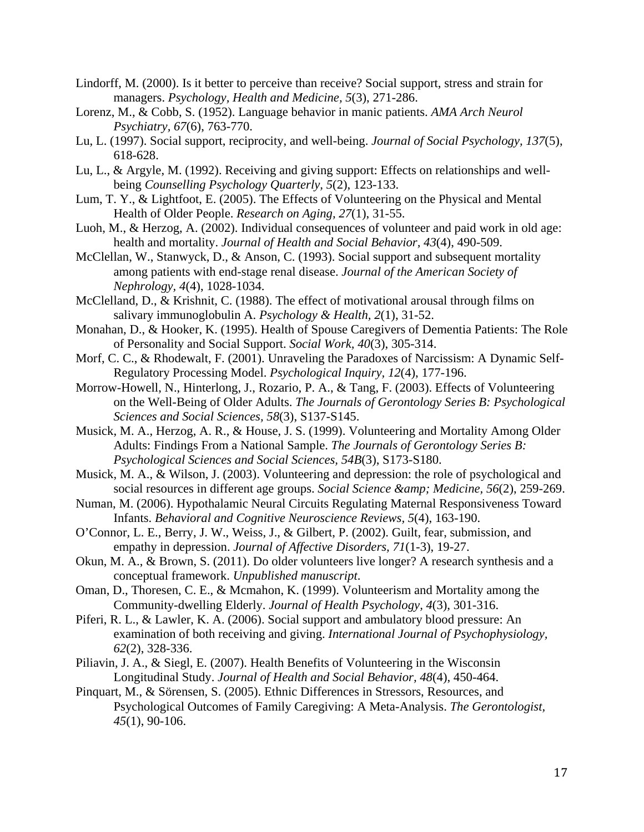- Lindorff, M. (2000). Is it better to perceive than receive? Social support, stress and strain for managers. *Psychology, Health and Medicine, 5*(3), 271-286.
- Lorenz, M., & Cobb, S. (1952). Language behavior in manic patients. *AMA Arch Neurol Psychiatry, 67*(6), 763-770.
- Lu, L. (1997). Social support, reciprocity, and well-being. *Journal of Social Psychology, 137*(5), 618-628.
- Lu, L., & Argyle, M. (1992). Receiving and giving support: Effects on relationships and wellbeing *Counselling Psychology Quarterly, 5*(2), 123-133.
- Lum, T. Y., & Lightfoot, E. (2005). The Effects of Volunteering on the Physical and Mental Health of Older People. *Research on Aging, 27*(1), 31-55.
- Luoh, M., & Herzog, A. (2002). Individual consequences of volunteer and paid work in old age: health and mortality. *Journal of Health and Social Behavior, 43*(4), 490-509.
- McClellan, W., Stanwyck, D., & Anson, C. (1993). Social support and subsequent mortality among patients with end-stage renal disease. *Journal of the American Society of Nephrology, 4*(4), 1028-1034.
- McClelland, D., & Krishnit, C. (1988). The effect of motivational arousal through films on salivary immunoglobulin A. *Psychology & Health, 2*(1), 31-52.
- Monahan, D., & Hooker, K. (1995). Health of Spouse Caregivers of Dementia Patients: The Role of Personality and Social Support. *Social Work, 40*(3), 305-314.
- Morf, C. C., & Rhodewalt, F. (2001). Unraveling the Paradoxes of Narcissism: A Dynamic Self-Regulatory Processing Model. *Psychological Inquiry, 12*(4), 177-196.
- Morrow-Howell, N., Hinterlong, J., Rozario, P. A., & Tang, F. (2003). Effects of Volunteering on the Well-Being of Older Adults. *The Journals of Gerontology Series B: Psychological Sciences and Social Sciences, 58*(3), S137-S145.
- Musick, M. A., Herzog, A. R., & House, J. S. (1999). Volunteering and Mortality Among Older Adults: Findings From a National Sample. *The Journals of Gerontology Series B: Psychological Sciences and Social Sciences, 54B*(3), S173-S180.
- Musick, M. A., & Wilson, J. (2003). Volunteering and depression: the role of psychological and social resources in different age groups. *Social Science & amp*; *Medicine*, 56(2), 259-269.
- Numan, M. (2006). Hypothalamic Neural Circuits Regulating Maternal Responsiveness Toward Infants. *Behavioral and Cognitive Neuroscience Reviews, 5*(4), 163-190.
- O'Connor, L. E., Berry, J. W., Weiss, J., & Gilbert, P. (2002). Guilt, fear, submission, and empathy in depression. *Journal of Affective Disorders, 71*(1-3), 19-27.
- Okun, M. A., & Brown, S. (2011). Do older volunteers live longer? A research synthesis and a conceptual framework. *Unpublished manuscript*.
- Oman, D., Thoresen, C. E., & Mcmahon, K. (1999). Volunteerism and Mortality among the Community-dwelling Elderly. *Journal of Health Psychology, 4*(3), 301-316.
- Piferi, R. L., & Lawler, K. A. (2006). Social support and ambulatory blood pressure: An examination of both receiving and giving. *International Journal of Psychophysiology, 62*(2), 328-336.
- Piliavin, J. A., & Siegl, E. (2007). Health Benefits of Volunteering in the Wisconsin Longitudinal Study. *Journal of Health and Social Behavior, 48*(4), 450-464.
- Pinquart, M., & Sörensen, S. (2005). Ethnic Differences in Stressors, Resources, and Psychological Outcomes of Family Caregiving: A Meta-Analysis. *The Gerontologist, 45*(1), 90-106.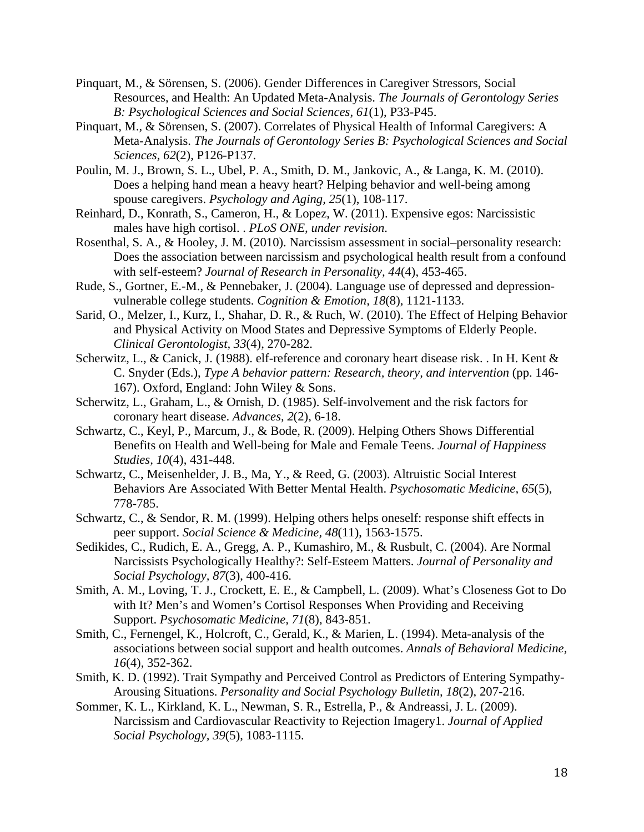- Pinquart, M., & Sörensen, S. (2006). Gender Differences in Caregiver Stressors, Social Resources, and Health: An Updated Meta-Analysis. *The Journals of Gerontology Series B: Psychological Sciences and Social Sciences, 61*(1), P33-P45.
- Pinquart, M., & Sörensen, S. (2007). Correlates of Physical Health of Informal Caregivers: A Meta-Analysis. *The Journals of Gerontology Series B: Psychological Sciences and Social Sciences, 62*(2), P126-P137.
- Poulin, M. J., Brown, S. L., Ubel, P. A., Smith, D. M., Jankovic, A., & Langa, K. M. (2010). Does a helping hand mean a heavy heart? Helping behavior and well-being among spouse caregivers. *Psychology and Aging, 25*(1), 108-117.
- Reinhard, D., Konrath, S., Cameron, H., & Lopez, W. (2011). Expensive egos: Narcissistic males have high cortisol. . *PLoS ONE, under revision*.
- Rosenthal, S. A., & Hooley, J. M. (2010). Narcissism assessment in social–personality research: Does the association between narcissism and psychological health result from a confound with self-esteem? *Journal of Research in Personality, 44*(4), 453-465.
- Rude, S., Gortner, E.-M., & Pennebaker, J. (2004). Language use of depressed and depressionvulnerable college students. *Cognition & Emotion, 18*(8), 1121-1133.
- Sarid, O., Melzer, I., Kurz, I., Shahar, D. R., & Ruch, W. (2010). The Effect of Helping Behavior and Physical Activity on Mood States and Depressive Symptoms of Elderly People. *Clinical Gerontologist, 33*(4), 270-282.
- Scherwitz, L., & Canick, J. (1988). elf-reference and coronary heart disease risk. . In H. Kent & C. Snyder (Eds.), *Type A behavior pattern: Research, theory, and intervention* (pp. 146- 167). Oxford, England: John Wiley & Sons.
- Scherwitz, L., Graham, L., & Ornish, D. (1985). Self-involvement and the risk factors for coronary heart disease. *Advances, 2*(2), 6-18.
- Schwartz, C., Keyl, P., Marcum, J., & Bode, R. (2009). Helping Others Shows Differential Benefits on Health and Well-being for Male and Female Teens. *Journal of Happiness Studies, 10*(4), 431-448.
- Schwartz, C., Meisenhelder, J. B., Ma, Y., & Reed, G. (2003). Altruistic Social Interest Behaviors Are Associated With Better Mental Health. *Psychosomatic Medicine, 65*(5), 778-785.
- Schwartz, C., & Sendor, R. M. (1999). Helping others helps oneself: response shift effects in peer support. *Social Science & Medicine, 48*(11), 1563-1575.
- Sedikides, C., Rudich, E. A., Gregg, A. P., Kumashiro, M., & Rusbult, C. (2004). Are Normal Narcissists Psychologically Healthy?: Self-Esteem Matters. *Journal of Personality and Social Psychology, 87*(3), 400-416.
- Smith, A. M., Loving, T. J., Crockett, E. E., & Campbell, L. (2009). What's Closeness Got to Do with It? Men's and Women's Cortisol Responses When Providing and Receiving Support. *Psychosomatic Medicine, 71*(8), 843-851.
- Smith, C., Fernengel, K., Holcroft, C., Gerald, K., & Marien, L. (1994). Meta-analysis of the associations between social support and health outcomes. *Annals of Behavioral Medicine, 16*(4), 352-362.
- Smith, K. D. (1992). Trait Sympathy and Perceived Control as Predictors of Entering Sympathy-Arousing Situations. *Personality and Social Psychology Bulletin, 18*(2), 207-216.
- Sommer, K. L., Kirkland, K. L., Newman, S. R., Estrella, P., & Andreassi, J. L. (2009). Narcissism and Cardiovascular Reactivity to Rejection Imagery1. *Journal of Applied Social Psychology, 39*(5), 1083-1115.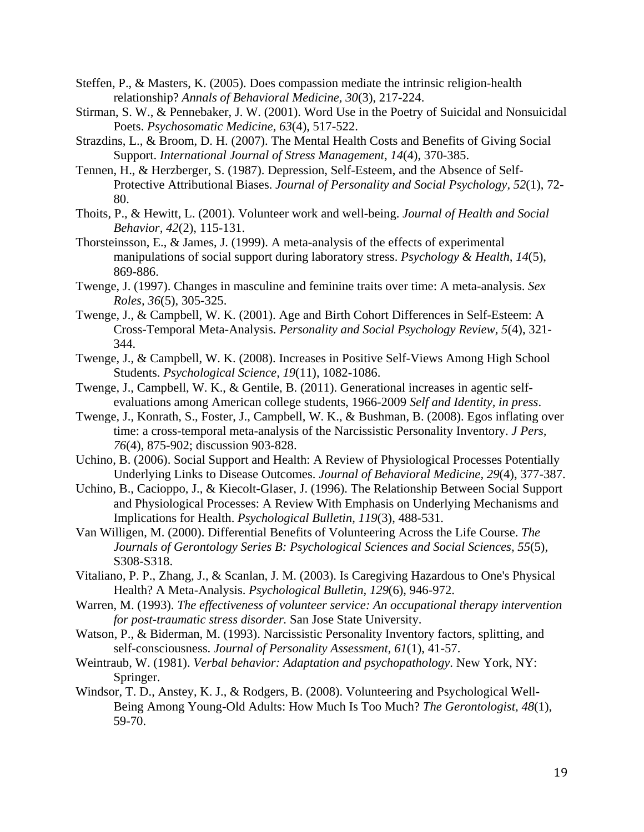- Steffen, P., & Masters, K. (2005). Does compassion mediate the intrinsic religion-health relationship? *Annals of Behavioral Medicine, 30*(3), 217-224.
- Stirman, S. W., & Pennebaker, J. W. (2001). Word Use in the Poetry of Suicidal and Nonsuicidal Poets. *Psychosomatic Medicine, 63*(4), 517-522.
- Strazdins, L., & Broom, D. H. (2007). The Mental Health Costs and Benefits of Giving Social Support. *International Journal of Stress Management, 14*(4), 370-385.
- Tennen, H., & Herzberger, S. (1987). Depression, Self-Esteem, and the Absence of Self-Protective Attributional Biases. *Journal of Personality and Social Psychology, 52*(1), 72- 80.
- Thoits, P., & Hewitt, L. (2001). Volunteer work and well-being. *Journal of Health and Social Behavior, 42*(2), 115-131.
- Thorsteinsson, E., & James, J. (1999). A meta-analysis of the effects of experimental manipulations of social support during laboratory stress. *Psychology & Health, 14*(5), 869-886.
- Twenge, J. (1997). Changes in masculine and feminine traits over time: A meta-analysis. *Sex Roles, 36*(5), 305-325.
- Twenge, J., & Campbell, W. K. (2001). Age and Birth Cohort Differences in Self-Esteem: A Cross-Temporal Meta-Analysis. *Personality and Social Psychology Review, 5*(4), 321- 344.
- Twenge, J., & Campbell, W. K. (2008). Increases in Positive Self-Views Among High School Students. *Psychological Science, 19*(11), 1082-1086.
- Twenge, J., Campbell, W. K., & Gentile, B. (2011). Generational increases in agentic selfevaluations among American college students, 1966-2009 *Self and Identity, in press*.
- Twenge, J., Konrath, S., Foster, J., Campbell, W. K., & Bushman, B. (2008). Egos inflating over time: a cross-temporal meta-analysis of the Narcissistic Personality Inventory. *J Pers, 76*(4), 875-902; discussion 903-828.
- Uchino, B. (2006). Social Support and Health: A Review of Physiological Processes Potentially Underlying Links to Disease Outcomes. *Journal of Behavioral Medicine, 29*(4), 377-387.
- Uchino, B., Cacioppo, J., & Kiecolt-Glaser, J. (1996). The Relationship Between Social Support and Physiological Processes: A Review With Emphasis on Underlying Mechanisms and Implications for Health. *Psychological Bulletin, 119*(3), 488-531.
- Van Willigen, M. (2000). Differential Benefits of Volunteering Across the Life Course. *The Journals of Gerontology Series B: Psychological Sciences and Social Sciences, 55*(5), S308-S318.
- Vitaliano, P. P., Zhang, J., & Scanlan, J. M. (2003). Is Caregiving Hazardous to One's Physical Health? A Meta-Analysis. *Psychological Bulletin, 129*(6), 946-972.
- Warren, M. (1993). *The effectiveness of volunteer service: An occupational therapy intervention for post-traumatic stress disorder.* San Jose State University.
- Watson, P., & Biderman, M. (1993). Narcissistic Personality Inventory factors, splitting, and self-consciousness. *Journal of Personality Assessment, 61*(1), 41-57.
- Weintraub, W. (1981). *Verbal behavior: Adaptation and psychopathology*. New York, NY: Springer.
- Windsor, T. D., Anstey, K. J., & Rodgers, B. (2008). Volunteering and Psychological Well-Being Among Young-Old Adults: How Much Is Too Much? *The Gerontologist, 48*(1), 59-70.